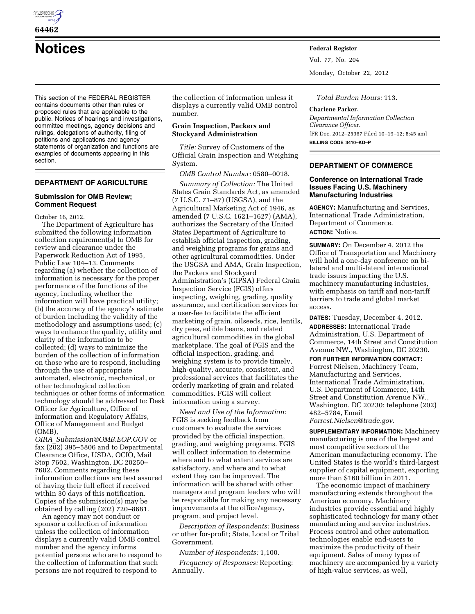

**64462** 

**Notices Federal Register**

This section of the FEDERAL REGISTER contains documents other than rules or proposed rules that are applicable to the public. Notices of hearings and investigations, committee meetings, agency decisions and rulings, delegations of authority, filing of petitions and applications and agency statements of organization and functions are examples of documents appearing in this section.

# **DEPARTMENT OF AGRICULTURE**

### **Submission for OMB Review; Comment Request**

October 16, 2012.

The Department of Agriculture has submitted the following information collection requirement(s) to OMB for review and clearance under the Paperwork Reduction Act of 1995, Public Law 104–13. Comments regarding (a) whether the collection of information is necessary for the proper performance of the functions of the agency, including whether the information will have practical utility; (b) the accuracy of the agency's estimate of burden including the validity of the methodology and assumptions used; (c) ways to enhance the quality, utility and clarity of the information to be collected; (d) ways to minimize the burden of the collection of information on those who are to respond, including through the use of appropriate automated, electronic, mechanical, or other technological collection techniques or other forms of information technology should be addressed to: Desk Officer for Agriculture, Office of Information and Regulatory Affairs, Office of Management and Budget (OMB),

*OIRA*\_*[Submission@OMB.EOP.GOV](mailto:OIRA_Submission@OMB.EOP.GOV)* or fax (202) 395–5806 and to Departmental Clearance Office, USDA, OCIO, Mail Stop 7602, Washington, DC 20250– 7602. Comments regarding these information collections are best assured of having their full effect if received within 30 days of this notification. Copies of the submission(s) may be obtained by calling (202) 720–8681.

An agency may not conduct or sponsor a collection of information unless the collection of information displays a currently valid OMB control number and the agency informs potential persons who are to respond to the collection of information that such persons are not required to respond to

the collection of information unless it displays a currently valid OMB control number.

# **Grain Inspection, Packers and Stockyard Administration**

*Title:* Survey of Customers of the Official Grain Inspection and Weighing System.

*OMB Control Number:* 0580–0018. *Summary of Collection:* The United States Grain Standards Act, as amended (7 U.S.C. 71–87) (USGSA), and the Agricultural Marketing Act of 1946, as amended (7 U.S.C. 1621–1627) (AMA), authorizes the Secretary of the United States Department of Agriculture to establish official inspection, grading, and weighing programs for grains and other agricultural commodities. Under the USGSA and AMA, Grain Inspection, the Packers and Stockyard Administration's (GIPSA) Federal Grain Inspection Service (FGIS) offers inspecting, weighing, grading, quality assurance, and certification services for a user-fee to facilitate the efficient marketing of grain, oilseeds, rice, lentils, dry peas, edible beans, and related agricultural commodities in the global marketplace. The goal of FGIS and the official inspection, grading, and weighing system is to provide timely, high-quality, accurate, consistent, and professional services that facilitates the orderly marketing of grain and related commodities. FGIS will collect information using a survey.

*Need and Use of the Information:*  FGIS is seeking feedback from customers to evaluate the services provided by the official inspection, grading, and weighing programs. FGIS will collect information to determine where and to what extent services are satisfactory, and where and to what extent they can be improved. The information will be shared with other managers and program leaders who will be responsible for making any necessary improvements at the office/agency, program, and project level.

*Description of Respondents:* Business or other for-profit; State, Local or Tribal Government.

*Number of Respondents:* 1,100.

*Frequency of Responses:* Reporting: Annually.

Vol. 77, No. 204

Monday, October 22, 2012

*Total Burden Hours:* 113.

#### **Charlene Parker,**

*Departmental Information Collection Clearance Officer.*  [FR Doc. 2012–25967 Filed 10–19–12; 8:45 am] **BILLING CODE 3410–KD–P** 

## **DEPARTMENT OF COMMERCE**

## **Conference on International Trade Issues Facing U.S. Machinery Manufacturing Industries**

**AGENCY:** Manufacturing and Services, International Trade Administration, Department of Commerce. **ACTION:** Notice.

**SUMMARY:** On December 4, 2012 the Office of Transportation and Machinery will hold a one-day conference on bilateral and multi-lateral international trade issues impacting the U.S. machinery manufacturing industries, with emphasis on tariff and non-tariff barriers to trade and global market access.

**DATES:** Tuesday, December 4, 2012. **ADDRESSES:** International Trade Administration, U.S. Department of Commerce, 14th Street and Constitution Avenue NW., Washington, DC 20230. **FOR FURTHER INFORMATION CONTACT:**  Forrest Nielsen, Machinery Team, Manufacturing and Services, International Trade Administration, U.S. Department of Commerce, 14th Street and Constitution Avenue NW., Washington, DC 20230; telephone (202) 482–5784, Email *[Forrest.Nielsen@trade.gov](mailto:Forrest.Nielsen@trade.gov)*.

**SUPPLEMENTARY INFORMATION:** Machinery manufacturing is one of the largest and most competitive sectors of the American manufacturing economy. The United States is the world's third-largest supplier of capital equipment, exporting more than \$160 billion in 2011.

The economic impact of machinery manufacturing extends throughout the American economy. Machinery industries provide essential and highly sophisticated technology for many other manufacturing and service industries. Process control and other automation technologies enable end-users to maximize the productivity of their equipment. Sales of many types of machinery are accompanied by a variety of high-value services, as well,